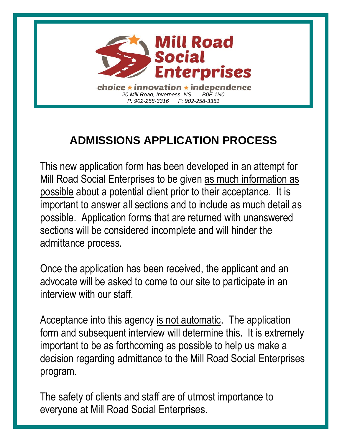

### **ADMISSIONS APPLICATION PROCESS**

This new application form has been developed in an attempt for Mill Road Social Enterprises to be given as much information as possible about a potential client prior to their acceptance. It is important to answer all sections and to include as much detail as possible. Application forms that are returned with unanswered sections will be considered incomplete and will hinder the admittance process.

Once the application has been received, the applicant and an advocate will be asked to come to our site to participate in an interview with our staff.

Acceptance into this agency is not automatic. The application form and subsequent interview will determine this. It is extremely important to be as forthcoming as possible to help us make a decision regarding admittance to the Mill Road Social Enterprises program.

The safety of clients and staff are of utmost importance to everyone at Mill Road Social Enterprises.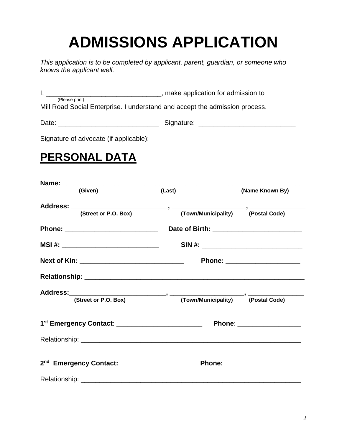# **ADMISSIONS APPLICATION**

*This application is to be completed by applicant, parent, guardian, or someone who knows the applicant well.* 

I, \_\_\_\_\_\_\_\_\_\_\_\_\_\_\_\_\_\_\_\_\_\_\_\_\_\_\_\_\_\_\_, make application for admission to (Please print) Mill Road Social Enterprise. I understand and accept the admission process. Date: \_\_\_\_\_\_\_\_\_\_\_\_\_\_\_\_\_\_\_\_\_\_\_\_\_\_\_ Signature: \_\_\_\_\_\_\_\_\_\_\_\_\_\_\_\_\_\_\_\_\_\_\_\_\_\_ Signature of advocate (if applicable): \_\_\_\_\_\_\_\_\_\_\_\_\_\_\_\_\_\_\_\_\_\_\_\_\_\_\_\_\_\_\_\_\_\_\_\_\_\_\_

#### **PERSONAL DATA**

| (Given)                                                         | (Last) | (Name Known By)                       |
|-----------------------------------------------------------------|--------|---------------------------------------|
|                                                                 |        |                                       |
|                                                                 |        |                                       |
|                                                                 |        |                                       |
| MSI #: _____________________________                            |        | SIN #: ______________________________ |
| Next of Kin: ___________________________________                |        | Phone: _______________________        |
|                                                                 |        |                                       |
|                                                                 |        |                                       |
| Address: (Street or P.O. Box) (Town/Municipality) (Postal Code) |        |                                       |
|                                                                 |        |                                       |
|                                                                 |        |                                       |
|                                                                 |        |                                       |
|                                                                 |        |                                       |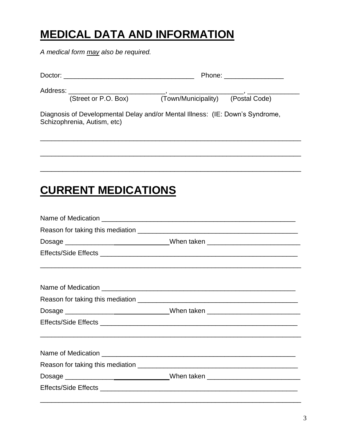#### **MEDICAL DATA AND INFORMATION**

A medical form may also be required.

|                             | Phone: _________________                                                      |  |
|-----------------------------|-------------------------------------------------------------------------------|--|
| (Street or P.O. Box)        | (Town/Municipality) (Postal Code)                                             |  |
| Schizophrenia, Autism, etc) | Diagnosis of Developmental Delay and/or Mental Illness: (IE: Down's Syndrome, |  |
|                             |                                                                               |  |
|                             |                                                                               |  |
|                             |                                                                               |  |

#### **CURRENT MEDICATIONS**

| Dosage _________________________________When taken _____________________________ |
|----------------------------------------------------------------------------------|
|                                                                                  |
|                                                                                  |
|                                                                                  |
|                                                                                  |
| Dosage ___________________________________When taken ___________________________ |
|                                                                                  |
|                                                                                  |
|                                                                                  |
| Dosage _________________________________When taken _____________________________ |
|                                                                                  |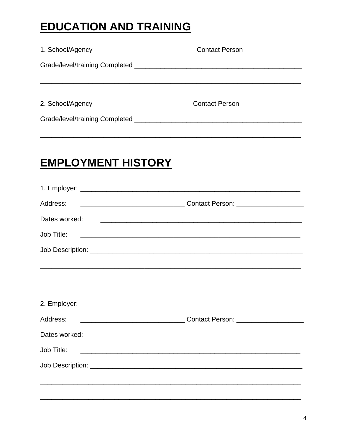#### **EDUCATION AND TRAINING**

| Contact Person ________________ |  |
|---------------------------------|--|
|                                 |  |
|                                 |  |
|                                 |  |

## **EMPLOYMENT HISTORY**

| Address:                                                                                                                             |                                                                                                                        |
|--------------------------------------------------------------------------------------------------------------------------------------|------------------------------------------------------------------------------------------------------------------------|
| Dates worked:                                                                                                                        |                                                                                                                        |
|                                                                                                                                      |                                                                                                                        |
|                                                                                                                                      |                                                                                                                        |
|                                                                                                                                      |                                                                                                                        |
|                                                                                                                                      |                                                                                                                        |
| Address:                                                                                                                             |                                                                                                                        |
| Dates worked:                                                                                                                        | <u> 1980 - Andrea Barbara, amerikana amerikana amerikana amerikana amerikana amerikana amerikana amerikana amerika</u> |
| Job Title:<br><u> 1989 - Andrea Barbara, amerikana amerikana amerikana amerikana amerikana amerikana amerikana amerikana amerika</u> |                                                                                                                        |
|                                                                                                                                      |                                                                                                                        |
| ,我们也不能会有什么。""我们的人,我们也不能会有什么?""我们的人,我们也不能会有什么?""我们的人,我们也不能会有什么?""我们的人,我们也不能会有什么?""                                                    |                                                                                                                        |
|                                                                                                                                      |                                                                                                                        |
|                                                                                                                                      |                                                                                                                        |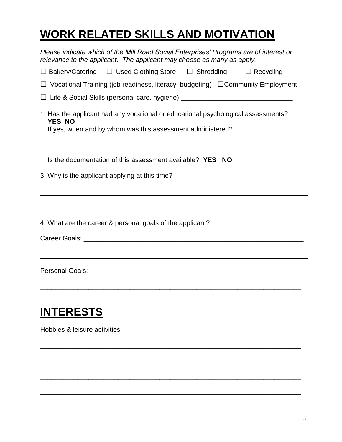## **WORK RELATED SKILLS AND MOTIVATION**

| Please indicate which of the Mill Road Social Enterprises' Programs are of interest or<br>relevance to the applicant. The applicant may choose as many as apply. |
|------------------------------------------------------------------------------------------------------------------------------------------------------------------|
| $\Box$ Bakery/Catering $\Box$ Used Clothing Store $\Box$ Shredding $\Box$ Recycling                                                                              |
| $\Box$ Vocational Training (job readiness, literacy, budgeting) $\Box$ Community Employment                                                                      |
| □ Life & Social Skills (personal care, hygiene) ________________________________                                                                                 |
| 1. Has the applicant had any vocational or educational psychological assessments?<br><b>YES NO</b><br>If yes, when and by whom was this assessment administered? |
| Is the documentation of this assessment available? YES NO                                                                                                        |
| 3. Why is the applicant applying at this time?                                                                                                                   |
| 4. What are the career & personal goals of the applicant?                                                                                                        |
|                                                                                                                                                                  |
| <b>INTERESTS</b><br>Hobbies & leisure activities:                                                                                                                |

\_\_\_\_\_\_\_\_\_\_\_\_\_\_\_\_\_\_\_\_\_\_\_\_\_\_\_\_\_\_\_\_\_\_\_\_\_\_\_\_\_\_\_\_\_\_\_\_\_\_\_\_\_\_\_\_\_\_\_\_\_\_\_\_\_\_\_\_\_\_

\_\_\_\_\_\_\_\_\_\_\_\_\_\_\_\_\_\_\_\_\_\_\_\_\_\_\_\_\_\_\_\_\_\_\_\_\_\_\_\_\_\_\_\_\_\_\_\_\_\_\_\_\_\_\_\_\_\_\_\_\_\_\_\_\_\_\_\_\_\_

\_\_\_\_\_\_\_\_\_\_\_\_\_\_\_\_\_\_\_\_\_\_\_\_\_\_\_\_\_\_\_\_\_\_\_\_\_\_\_\_\_\_\_\_\_\_\_\_\_\_\_\_\_\_\_\_\_\_\_\_\_\_\_\_\_\_\_\_\_\_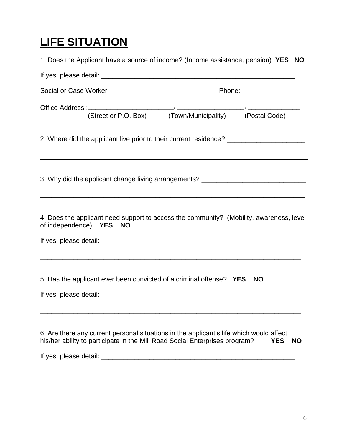## **LIFE SITUATION**

| 1. Does the Applicant have a source of income? (Income assistance, pension) YES NO                                                                                                |                         |
|-----------------------------------------------------------------------------------------------------------------------------------------------------------------------------------|-------------------------|
|                                                                                                                                                                                   |                         |
|                                                                                                                                                                                   |                         |
|                                                                                                                                                                                   |                         |
| 2. Where did the applicant live prior to their current residence? _______________                                                                                                 |                         |
| 3. Why did the applicant change living arrangements? ___________________________                                                                                                  |                         |
| 4. Does the applicant need support to access the community? (Mobility, awareness, level<br>of independence) YES NO<br><u> 1989 - Johann Stoff, amerikansk politiker (d. 1989)</u> |                         |
| 5. Has the applicant ever been convicted of a criminal offense? YES NO                                                                                                            |                         |
| 6. Are there any current personal situations in the applicant's life which would affect<br>his/her ability to participate in the Mill Road Social Enterprises program?            | <b>YES</b><br><b>NO</b> |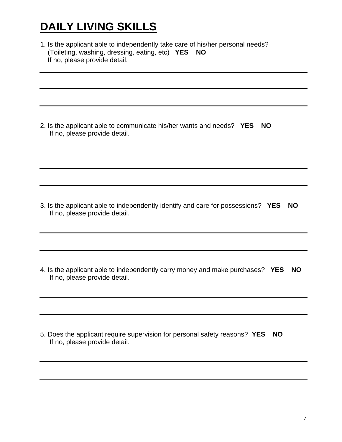## **DAILY LIVING SKILLS**

1. Is the applicant able to independently take care of his/her personal needs? (Toileting, washing, dressing, eating, etc) **YES NO** If no, please provide detail.

2. Is the applicant able to communicate his/her wants and needs? **YES NO** If no, please provide detail.

3. Is the applicant able to independently identify and care for possessions? **YES NO** If no, please provide detail.

\_\_\_\_\_\_\_\_\_\_\_\_\_\_\_\_\_\_\_\_\_\_\_\_\_\_\_\_\_\_\_\_\_\_\_\_\_\_\_\_\_\_\_\_\_\_\_\_\_\_\_\_\_\_\_\_\_\_\_\_\_\_\_\_\_\_\_\_\_\_

4. Is the applicant able to independently carry money and make purchases? **YES NO** If no, please provide detail.

5. Does the applicant require supervision for personal safety reasons? **YES NO** If no, please provide detail.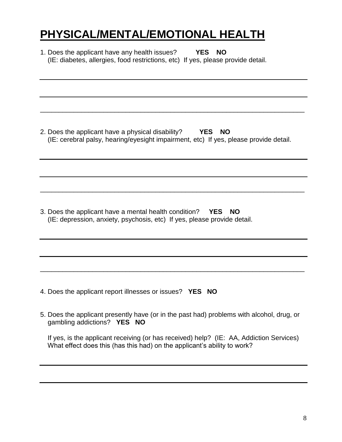## **PHYSICAL/MENTAL/EMOTIONAL HEALTH**

| 1. Does the applicant have any health issues?<br><b>YES</b><br><b>NO</b><br>(IE: diabetes, allergies, food restrictions, etc) If yes, please provide detail.        |
|---------------------------------------------------------------------------------------------------------------------------------------------------------------------|
|                                                                                                                                                                     |
| 2. Does the applicant have a physical disability?<br>YES<br><b>NO</b><br>(IE: cerebral palsy, hearing/eyesight impairment, etc) If yes, please provide detail.      |
|                                                                                                                                                                     |
| 3. Does the applicant have a mental health condition?<br>YES NO<br>(IE: depression, anxiety, psychosis, etc) If yes, please provide detail.                         |
|                                                                                                                                                                     |
| 4. Does the applicant report illnesses or issues?<br><b>YES</b><br><b>NO</b>                                                                                        |
| 5. Does the applicant presently have (or in the past had) problems with alcohol, drug, or<br>gambling addictions? YES NO                                            |
| If yes, is the applicant receiving (or has received) help? (IE: AA, Addiction Services)<br>What effect does this (has this had) on the applicant's ability to work? |
|                                                                                                                                                                     |